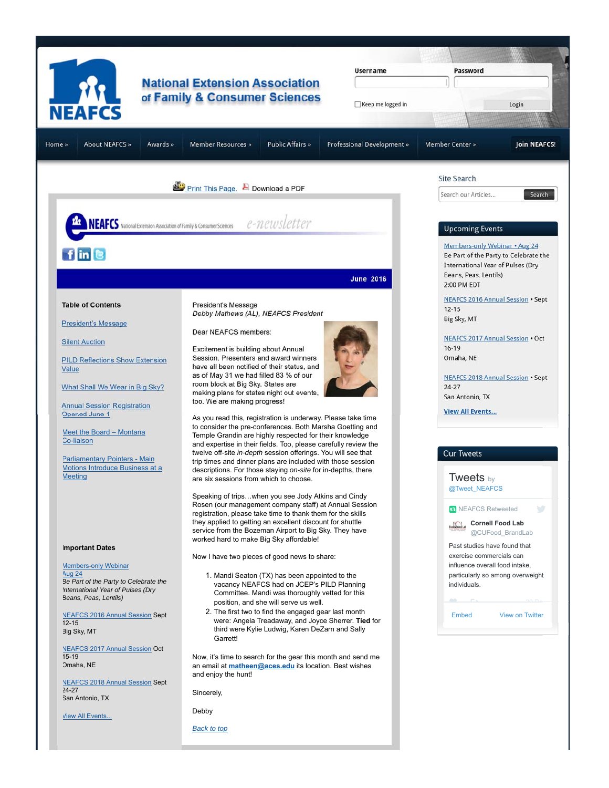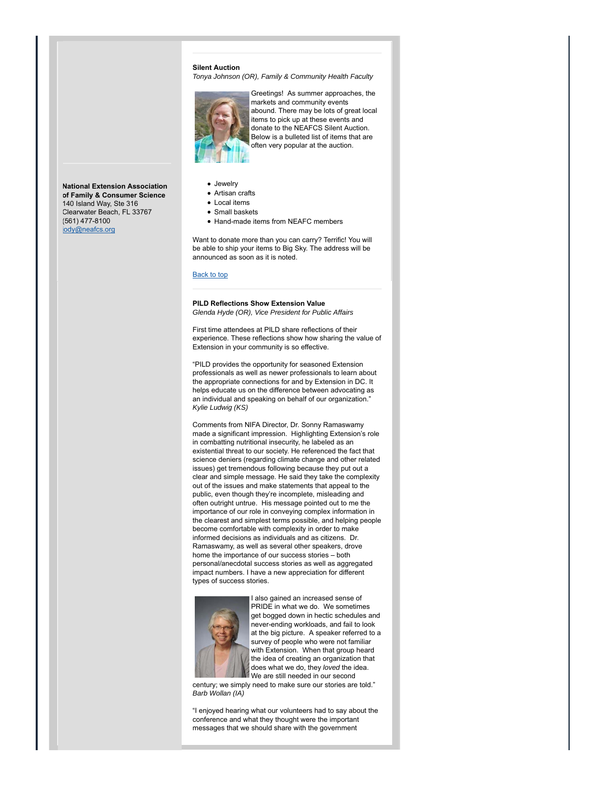### **Silent Auction**

*Tonya Johnson (OR), Family & Community Health Faculty*

![](_page_1_Picture_2.jpeg)

Greetings! As summer approaches, the markets and community events abound. There may be lots of great local items to pick up at these events and donate to the NEAFCS Silent Auction. Below is a bulleted list of items that are often very popular at the auction.

**National Extension Association of Family & Consumer Science** 140 Island Way, Ste 316 Clearwater Beach, FL 33767 (561) 477-8100 iody@neafcs.org

- Jewelry
- Artisan crafts
- Local items
- **•** Small baskets
- Hand-made items from NEAFC members

Want to donate more than you can carry? Terrific! You will be able to ship your items to Big Sky. The address will be announced as soon as it is noted.

#### Back to top

## **PILD Reflections Show Extension Value** *Glenda Hyde (OR), Vice President for Public Affairs*

First time attendees at PILD share reflections of their experience. These reflections show how sharing the value of Extension in your community is so effective.

"PILD provides the opportunity for seasoned Extension professionals as well as newer professionals to learn about the appropriate connections for and by Extension in DC. It helps educate us on the difference between advocating as an individual and speaking on behalf of our organization." *Kylie Ludwig (KS)*

Comments from NIFA Director, Dr. Sonny Ramaswamy made a significant impression. Highlighting Extension's role in combatting nutritional insecurity, he labeled as an existential threat to our society. He referenced the fact that science deniers (regarding climate change and other related issues) get tremendous following because they put out a clear and simple message. He said they take the complexity out of the issues and make statements that appeal to the public, even though they're incomplete, misleading and often outright untrue. His message pointed out to me the importance of our role in conveying complex information in the clearest and simplest terms possible, and helping people become comfortable with complexity in order to make informed decisions as individuals and as citizens. Dr. Ramaswamy, as well as several other speakers, drove home the importance of our success stories – both personal/anecdotal success stories as well as aggregated impact numbers. I have a new appreciation for different types of success stories.

![](_page_1_Picture_16.jpeg)

I also gained an increased sense of PRIDE in what we do. We sometimes get bogged down in hectic schedules and never-ending workloads, and fail to look at the big picture. A speaker referred to a survey of people who were not familiar with Extension. When that group heard the idea of creating an organization that does what we do, they *loved* the idea. We are still needed in our second

century; we simply need to make sure our stories are told." *Barb Wollan (IA)*

"I enjoyed hearing what our volunteers had to say about the conference and what they thought were the important messages that we should share with the government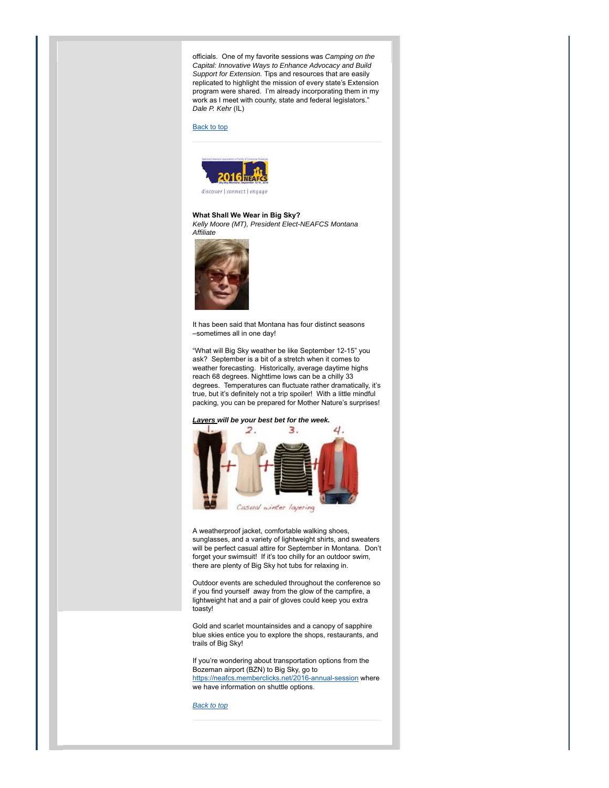officials. One of my favorite sessions was *Camping on the Capital: Innovative Ways to Enhance Advocacy and Build Support for Extension.* Tips and resources that are easily replicated to highlight the mission of every state's Extension program were shared. I'm already incorporating them in my work as I meet with county, state and federal legislators." *Dale P. Kehr* (IL)

#### Back to top

![](_page_2_Picture_2.jpeg)

discover | connect | engage

### **What Shall We Wear in Big Sky?**

*Kelly Moore (MT), President Elect-NEAFCS Montana Affiliate* 

![](_page_2_Picture_6.jpeg)

It has been said that Montana has four distinct seasons –sometimes all in one day!

"What will Big Sky weather be like September 12-15" you ask? September is a bit of a stretch when it comes to weather forecasting. Historically, average daytime highs reach 68 degrees. Nighttime lows can be a chilly 33 degrees. Temperatures can fluctuate rather dramatically, it's true, but it's definitely not a trip spoiler! With a little mindful packing, you can be prepared for Mother Nature's surprises!

## *Layers will be your best bet for the week.*

![](_page_2_Picture_10.jpeg)

A weatherproof jacket, comfortable walking shoes, sunglasses, and a variety of lightweight shirts, and sweaters will be perfect casual attire for September in Montana. Don't forget your swimsuit! If it's too chilly for an outdoor swim, there are plenty of Big Sky hot tubs for relaxing in.

Outdoor events are scheduled throughout the conference so if you find yourself away from the glow of the campfire, a lightweight hat and a pair of gloves could keep you extra toasty!

Gold and scarlet mountainsides and a canopy of sapphire blue skies entice you to explore the shops, restaurants, and trails of Big Sky!

If you're wondering about transportation options from the Bozeman airport (BZN) to Big Sky, go to https://neafcs.memberclicks.net/2016-annual-session where

we have information on shuttle options.

*Back to top*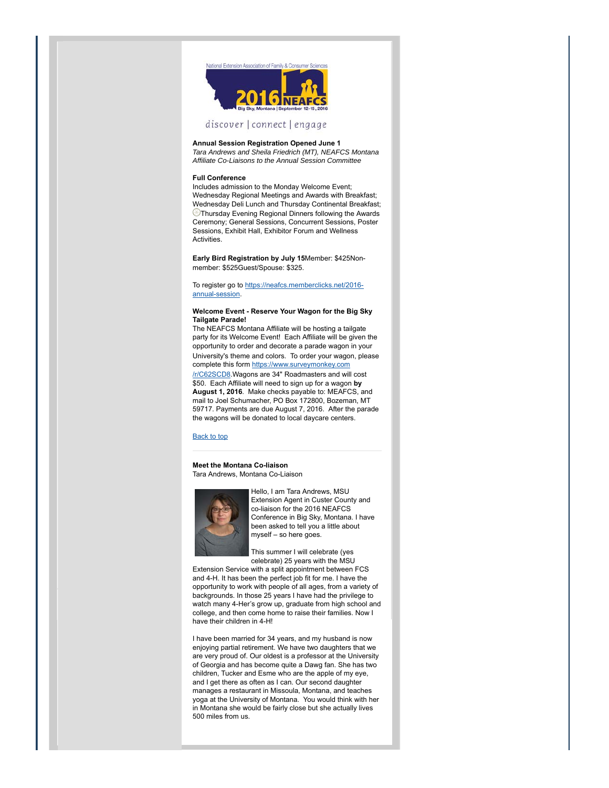![](_page_3_Picture_0.jpeg)

# discover | connect | engage

**Annual Session Registration Opened June 1**

*Tara Andrews and Sheila Friedrich (MT), NEAFCS Montana Affiliate Co-Liaisons to the Annual Session Committee*

#### **Full Conference**

Includes admission to the Monday Welcome Event; Wednesday Regional Meetings and Awards with Breakfast; Wednesday Deli Lunch and Thursday Continental Breakfast; **Thursday Evening Regional Dinners following the Awards** Ceremony; General Sessions, Concurrent Sessions, Poster Sessions, Exhibit Hall, Exhibitor Forum and Wellness **Activities.** 

**Early Bird Registration by July 15**Member: \$425Nonmember: \$525Guest/Spouse: \$325.

To register go to https://neafcs.memberclicks.net/2016annual-session.

### **Welcome Event - Reserve Your Wagon for the Big Sky Tailgate Parade!**

The NEAFCS Montana Affiliate will be hosting a tailgate party for its Welcome Event! Each Affiliate will be given the opportunity to order and decorate a parade wagon in your University's theme and colors. To order your wagon, please complete this form https://www.surveymonkey.com /r/C62SCD8.Wagons are 34" Roadmasters and will cost \$50. Each Affiliate will need to sign up for a wagon **by August 1, 2016**. Make checks payable to: MEAFCS, and mail to Joel Schumacher, PO Box 172800, Bozeman, MT 59717. Payments are due August 7, 2016. After the parade the wagons will be donated to local daycare centers.

## Back to top

**Meet the Montana Co-liaison** Tara Andrews, Montana Co-Liaison

![](_page_3_Picture_12.jpeg)

Hello, I am Tara Andrews, MSU Extension Agent in Custer County and co-liaison for the 2016 NEAFCS Conference in Big Sky, Montana. I have been asked to tell you a little about myself – so here goes.

This summer I will celebrate (yes celebrate) 25 years with the MSU

Extension Service with a split appointment between FCS and 4-H. It has been the perfect job fit for me. I have the opportunity to work with people of all ages, from a variety of backgrounds. In those 25 years I have had the privilege to watch many 4-Her's grow up, graduate from high school and college, and then come home to raise their families. Now I have their children in 4-H!

I have been married for 34 years, and my husband is now enjoying partial retirement. We have two daughters that we are very proud of. Our oldest is a professor at the University of Georgia and has become quite a Dawg fan. She has two children, Tucker and Esme who are the apple of my eye, and I get there as often as I can. Our second daughter manages a restaurant in Missoula, Montana, and teaches yoga at the University of Montana. You would think with her in Montana she would be fairly close but she actually lives 500 miles from us.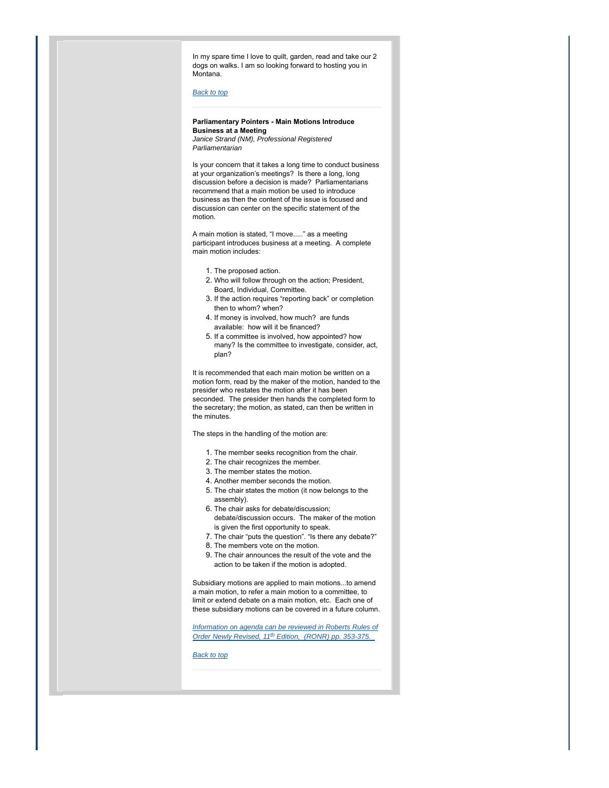In my spare time I love to quilt, garden, read and take our 2 dogs on walks. I am so looking forward to hosting you in Montana.

# *Back to top*

# **Parliamentary Pointers - Main Motions Introduce Business at a Meeting**

*Janice Strand (NM), Professional Registered Parliamentarian*

Is your concern that it takes a long time to conduct business at your organization's meetings? Is there a long, long discussion before a decision is made? Parliamentarians recommend that a main motion be used to introduce business as then the content of the issue is focused and discussion can center on the specific statement of the motion.

A main motion is stated, "I move....." as a meeting participant introduces business at a meeting. A complete main motion includes:

- 1. The proposed action.
- 2. Who will follow through on the action; President, Board, Individual, Committee.
- 3. If the action requires "reporting back" or completion then to whom? when?
- 4. If money is involved, how much? are funds available: how will it be financed?
- 5. If a committee is involved, how appointed? how many? Is the committee to investigate, consider, act, plan?

It is recommended that each main motion be written on a motion form, read by the maker of the motion, handed to the presider who restates the motion after it has been seconded. The presider then hands the completed form to the secretary; the motion, as stated, can then be written in the minutes.

The steps in the handling of the motion are:

- 1. The member seeks recognition from the chair.
- 2. The chair recognizes the member.
- 3. The member states the motion.
- 4. Another member seconds the motion.
- 5. The chair states the motion (it now belongs to the assembly).
- 6. The chair asks for debate/discussion; debate/discussion occurs. The maker of the motion is given the first opportunity to speak.
- 7. The chair "puts the question". "Is there any debate?"
- 8. The members vote on the motion.
- The chair announces the result of the vote and the 9. action to be taken if the motion is adopted.

Subsidiary motions are applied to main motions...to amend a main motion, to refer a main motion to a committee, to limit or extend debate on a main motion, etc. Each one of these subsidiary motions can be covered in a future column.

*Information on agenda can be reviewed in Roberts Rules of Order Newly Revised, 11th Edition, (RONR) pp. 353-375.* 

*Back to top*